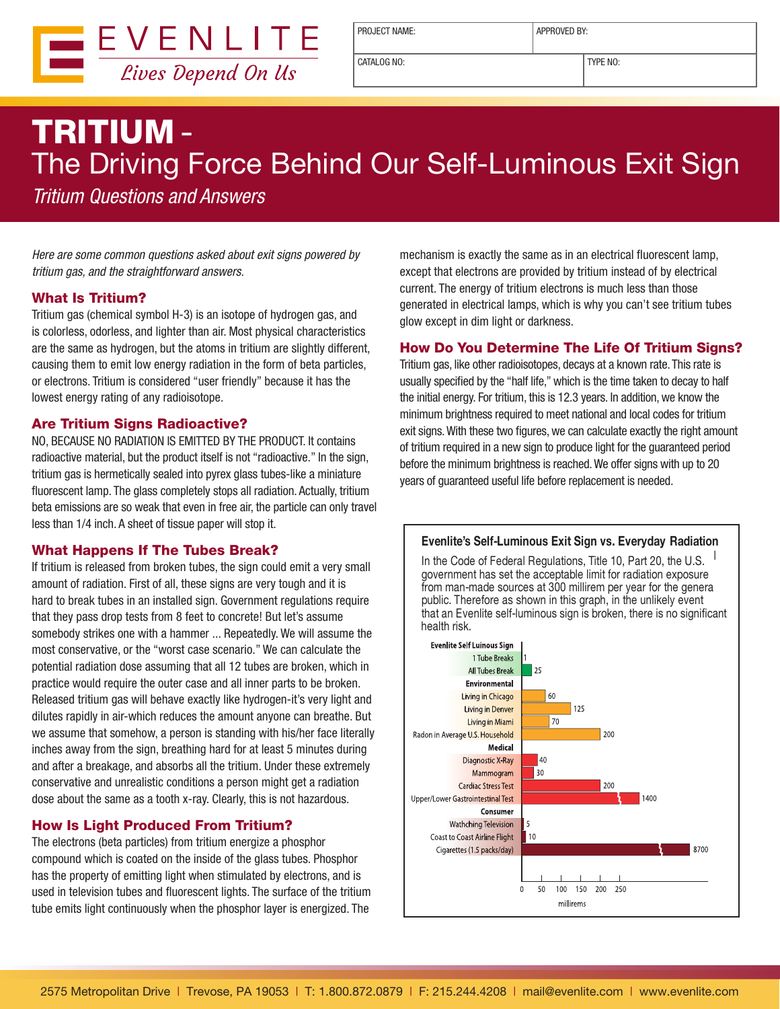

PROJECT NAME: <br> APPROVED BY:

CATALOG NO: TYPE NO:

# TRITIUM - The Driving Force Behind Our Self-Luminous Exit Sign

Tritium Questions and Answers

Here are some common questions asked about exit signs powered by tritium gas, and the straightforward answers.

## What Is Tritium?

Tritium gas (chemical symbol H-3) is an isotope of hydrogen gas, and is colorless, odorless, and lighter than air. Most physical characteristics are the same as hydrogen, but the atoms in tritium are slightly different, causing them to emit low energy radiation in the form of beta particles, or electrons. Tritium is considered "user friendly" because it has the lowest energy rating of any radioisotope.

## Are Tritium Signs Radioactive?

NO, BECAUSE NO RADIATION IS EMITTED BY THE PRODUCT. It contains radioactive material, but the product itself is not "radioactive." In the sign, tritium gas is hermetically sealed into pyrex glass tubes-like a miniature fluorescent lamp. The glass completely stops all radiation. Actually, tritium beta emissions are so weak that even in free air, the particle can only travel less than 1/4 inch. A sheet of tissue paper will stop it.

## What Happens If The Tubes Break?

If tritium is released from broken tubes, the sign could emit a very small amount of radiation. First of all, these signs are very tough and it is hard to break tubes in an installed sign. Government regulations require that they pass drop tests from 8 feet to concrete! But let's assume somebody strikes one with a hammer ... Repeatedly. We will assume the most conservative, or the "worst case scenario." We can calculate the potential radiation dose assuming that all 12 tubes are broken, which in practice would require the outer case and all inner parts to be broken. Released tritium gas will behave exactly like hydrogen-it's very light and dilutes rapidly in air-which reduces the amount anyone can breathe. But we assume that somehow, a person is standing with his/her face literally inches away from the sign, breathing hard for at least 5 minutes during and after a breakage, and absorbs all the tritium. Under these extremely conservative and unrealistic conditions a person might get a radiation dose about the same as a tooth x-ray. Clearly, this is not hazardous.

## How Is Light Produced From Tritium?

The electrons (beta particles) from tritium energize a phosphor compound which is coated on the inside of the glass tubes. Phosphor has the property of emitting light when stimulated by electrons, and is used in television tubes and fluorescent lights. The surface of the tritium tube emits light continuously when the phosphor layer is energized. The

mechanism is exactly the same as in an electrical fluorescent lamp, except that electrons are provided by tritium instead of by electrical current. The energy of tritium electrons is much less than those generated in electrical lamps, which is why you can't see tritium tubes glow except in dim light or darkness.

# How Do You Determine The Life Of Tritium Signs?

Tritium gas, like other radioisotopes, decays at a known rate. This rate is usually specified by the "half life," which is the time taken to decay to half the initial energy. For tritium, this is 12.3 years. In addition, we know the minimum brightness required to meet national and local codes for tritium exit signs. With these two figures, we can calculate exactly the right amount of tritium required in a new sign to produce light for the guaranteed period before the minimum brightness is reached. We offer signs with up to 20 years of guaranteed useful life before replacement is needed.